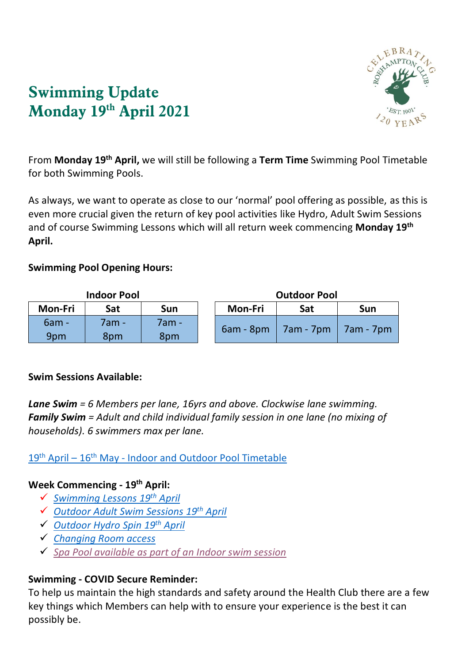

# **Swimming Update Monday 19 th April 2021**

From Monday 19<sup>th</sup> April, we will still be following a Term Time Swimming Pool Timetable for both Swimming Pools.

As always, we want to operate as close to our 'normal' pool offering as possible, as this is even more crucial given the return of key pool activities like Hydro, Adult Swim Sessions and of course Swimming Lessons which will all return week commencing **Monday 19th April.** 

### **Swimming Pool Opening Hours:**

| <b>Indoor Pool</b> |       |       |  | <b>Outdoor Pool</b> |           |           |
|--------------------|-------|-------|--|---------------------|-----------|-----------|
| Mon-Fri            | Sat   | Sun   |  | Mon-Fri             | Sat       | Sun       |
| $6am -$            | 7am - | 7am - |  | $6am - 8pm$         | 7am - 7pm | 7am - 7pm |
| 9pm                | 8pm   | 8pm   |  |                     |           |           |

### **Swim Sessions Available:**

*Lane Swim = 6 Members per lane, 16yrs and above. Clockwise lane swimming. Family Swim = Adult and child individual family session in one lane (no mixing of households). 6 swimmers max per lane.* 

19th April – 16th May - [Indoor and Outdoor](https://www.roehamptonclub.co.uk/propeller/uploads/2021/04/Pool-Timetables-19th-April-16th-May-2021-ii.pdf) Pool Timetable

### **Week Commencing - 19th April:**

- ✓ *[Swimming Lessons](https://www.roehamptonclub.co.uk/propeller/uploads/2021/04/Swimming-Lessons-Update-19th-April-2021-vHB.pdf) 19th April*
- ✓ *[Outdoor Adult Swim Sessions](https://www.roehamptonclub.co.uk/propeller/uploads/2021/04/Adult-Swim-Session-Update-Outdoor-Pool-19th-April-2021-vHB.pdf) 19th April*
- ✓ *[Outdoor Hydro Spin](https://www.roehamptonclub.co.uk/propeller/uploads/2021/04/Hydro-Spin-Update-19th-April-2021-vHB.pdf) 19th April*
- ✓ *[Changing Room access](https://www.roehamptonclub.co.uk/propeller/uploads/2021/04/Changing-Room-Update-19th-April-2021.pdf)*
- ✓ *[Spa Pool available as part of an Indoor swim session](https://www.roehamptonclub.co.uk/propeller/uploads/2021/04/Spa-Update-19th-April-2021.pdf)*

## **Swimming - COVID Secure Reminder:**

To help us maintain the high standards and safety around the Health Club there are a few key things which Members can help with to ensure your experience is the best it can possibly be.